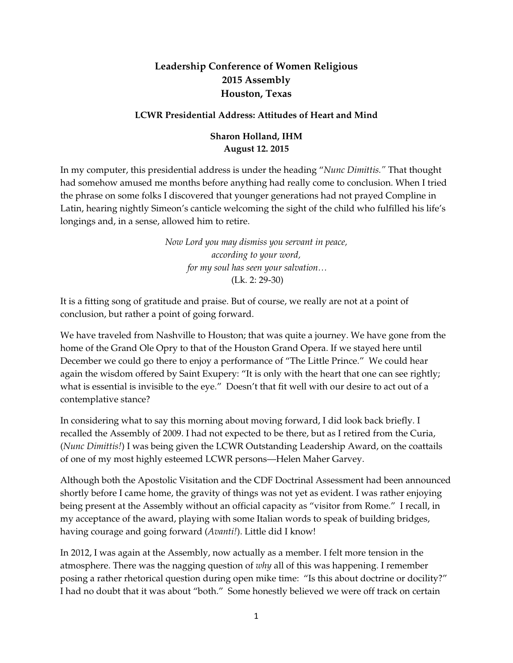# **Leadership Conference of Women Religious 2015 Assembly Houston, Texas**

## **LCWR Presidential Address: Attitudes of Heart and Mind**

## **Sharon Holland, IHM August 12. 2015**

In my computer, this presidential address is under the heading "*Nunc Dimittis."* That thought had somehow amused me months before anything had really come to conclusion. When I tried the phrase on some folks I discovered that younger generations had not prayed Compline in Latin, hearing nightly Simeon's canticle welcoming the sight of the child who fulfilled his life's longings and, in a sense, allowed him to retire.

> *Now Lord you may dismiss you servant in peace, according to your word, for my soul has seen your salvation…* (Lk. 2: 29-30)

It is a fitting song of gratitude and praise. But of course, we really are not at a point of conclusion, but rather a point of going forward.

We have traveled from Nashville to Houston; that was quite a journey. We have gone from the home of the Grand Ole Opry to that of the Houston Grand Opera. If we stayed here until December we could go there to enjoy a performance of "The Little Prince." We could hear again the wisdom offered by Saint Exupery: "It is only with the heart that one can see rightly; what is essential is invisible to the eye." Doesn't that fit well with our desire to act out of a contemplative stance?

In considering what to say this morning about moving forward, I did look back briefly. I recalled the Assembly of 2009. I had not expected to be there, but as I retired from the Curia, (*Nunc Dimittis!*) I was being given the LCWR Outstanding Leadership Award, on the coattails of one of my most highly esteemed LCWR persons—Helen Maher Garvey.

Although both the Apostolic Visitation and the CDF Doctrinal Assessment had been announced shortly before I came home, the gravity of things was not yet as evident. I was rather enjoying being present at the Assembly without an official capacity as "visitor from Rome." I recall, in my acceptance of the award, playing with some Italian words to speak of building bridges, having courage and going forward (*Avanti!*). Little did I know!

In 2012, I was again at the Assembly, now actually as a member. I felt more tension in the atmosphere. There was the nagging question of *why* all of this was happening. I remember posing a rather rhetorical question during open mike time: "Is this about doctrine or docility?" I had no doubt that it was about "both." Some honestly believed we were off track on certain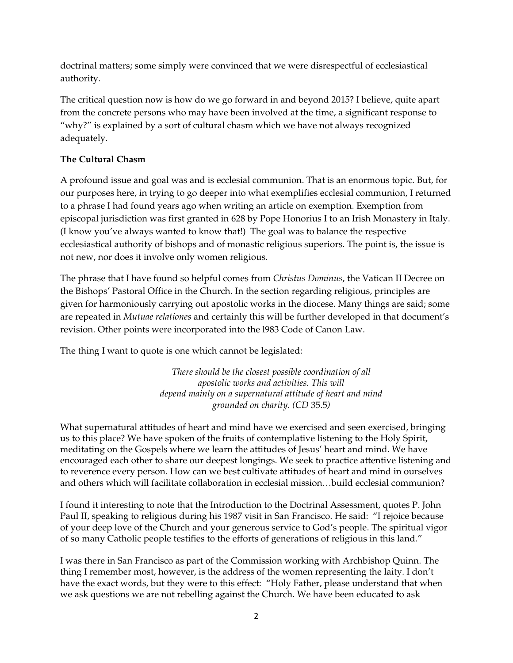doctrinal matters; some simply were convinced that we were disrespectful of ecclesiastical authority.

The critical question now is how do we go forward in and beyond 2015? I believe, quite apart from the concrete persons who may have been involved at the time, a significant response to "why?" is explained by a sort of cultural chasm which we have not always recognized adequately.

## **The Cultural Chasm**

A profound issue and goal was and is ecclesial communion. That is an enormous topic. But, for our purposes here, in trying to go deeper into what exemplifies ecclesial communion, I returned to a phrase I had found years ago when writing an article on exemption. Exemption from episcopal jurisdiction was first granted in 628 by Pope Honorius I to an Irish Monastery in Italy. (I know you've always wanted to know that!) The goal was to balance the respective ecclesiastical authority of bishops and of monastic religious superiors. The point is, the issue is not new, nor does it involve only women religious.

The phrase that I have found so helpful comes from *Christus Dominus*, the Vatican II Decree on the Bishops' Pastoral Office in the Church. In the section regarding religious, principles are given for harmoniously carrying out apostolic works in the diocese. Many things are said; some are repeated in *Mutuae relationes* and certainly this will be further developed in that document's revision. Other points were incorporated into the l983 Code of Canon Law.

The thing I want to quote is one which cannot be legislated:

*There should be the closest possible coordination of all apostolic works and activities. This will depend mainly on a supernatural attitude of heart and mind grounded on charity. (CD* 35.5*)*

What supernatural attitudes of heart and mind have we exercised and seen exercised, bringing us to this place? We have spoken of the fruits of contemplative listening to the Holy Spirit, meditating on the Gospels where we learn the attitudes of Jesus' heart and mind. We have encouraged each other to share our deepest longings. We seek to practice attentive listening and to reverence every person. How can we best cultivate attitudes of heart and mind in ourselves and others which will facilitate collaboration in ecclesial mission…build ecclesial communion?

I found it interesting to note that the Introduction to the Doctrinal Assessment, quotes P. John Paul II, speaking to religious during his 1987 visit in San Francisco. He said: "I rejoice because of your deep love of the Church and your generous service to God's people. The spiritual vigor of so many Catholic people testifies to the efforts of generations of religious in this land."

I was there in San Francisco as part of the Commission working with Archbishop Quinn. The thing I remember most, however, is the address of the women representing the laity. I don't have the exact words, but they were to this effect: "Holy Father, please understand that when we ask questions we are not rebelling against the Church. We have been educated to ask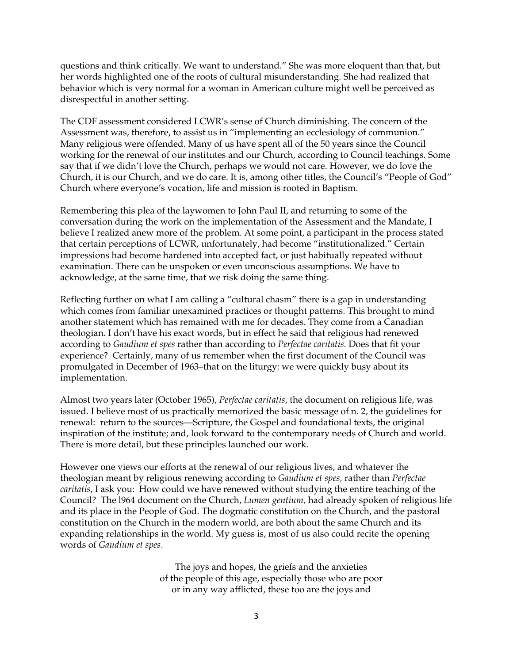questions and think critically. We want to understand." She was more eloquent than that, but her words highlighted one of the roots of cultural misunderstanding. She had realized that behavior which is very normal for a woman in American culture might well be perceived as disrespectful in another setting.

The CDF assessment considered LCWR's sense of Church diminishing. The concern of the Assessment was, therefore, to assist us in "implementing an ecclesiology of communion." Many religious were offended. Many of us have spent all of the 50 years since the Council working for the renewal of our institutes and our Church, according to Council teachings. Some say that if we didn't love the Church, perhaps we would not care. However, we do love the Church, it is our Church, and we do care. It is, among other titles, the Council's "People of God" Church where everyone's vocation, life and mission is rooted in Baptism.

Remembering this plea of the laywomen to John Paul II, and returning to some of the conversation during the work on the implementation of the Assessment and the Mandate, I believe I realized anew more of the problem. At some point, a participant in the process stated that certain perceptions of LCWR, unfortunately, had become "institutionalized." Certain impressions had become hardened into accepted fact, or just habitually repeated without examination. There can be unspoken or even unconscious assumptions. We have to acknowledge, at the same time, that we risk doing the same thing.

Reflecting further on what I am calling a "cultural chasm" there is a gap in understanding which comes from familiar unexamined practices or thought patterns. This brought to mind another statement which has remained with me for decades. They come from a Canadian theologian. I don't have his exact words, but in effect he said that religious had renewed according to *Gaudium et spes* rather than according to *Perfectae caritatis.* Does that fit your experience? Certainly, many of us remember when the first document of the Council was promulgated in December of 1963–that on the liturgy: we were quickly busy about its implementation.

Almost two years later (October 1965), *Perfectae caritatis*, the document on religious life, was issued. I believe most of us practically memorized the basic message of n. 2, the guidelines for renewal: return to the sources—Scripture, the Gospel and foundational texts, the original inspiration of the institute; and, look forward to the contemporary needs of Church and world. There is more detail, but these principles launched our work.

However one views our efforts at the renewal of our religious lives, and whatever the theologian meant by religious renewing according to *Gaudium et spes,* rather than *Perfectae caritatis*, I ask you: How could we have renewed without studying the entire teaching of the Council? The l964 document on the Church, *Lumen gentium,* had already spoken of religious life and its place in the People of God. The dogmatic constitution on the Church, and the pastoral constitution on the Church in the modern world, are both about the same Church and its expanding relationships in the world. My guess is, most of us also could recite the opening words of *Gaudium et spes*.

> The joys and hopes, the griefs and the anxieties of the people of this age, especially those who are poor or in any way afflicted, these too are the joys and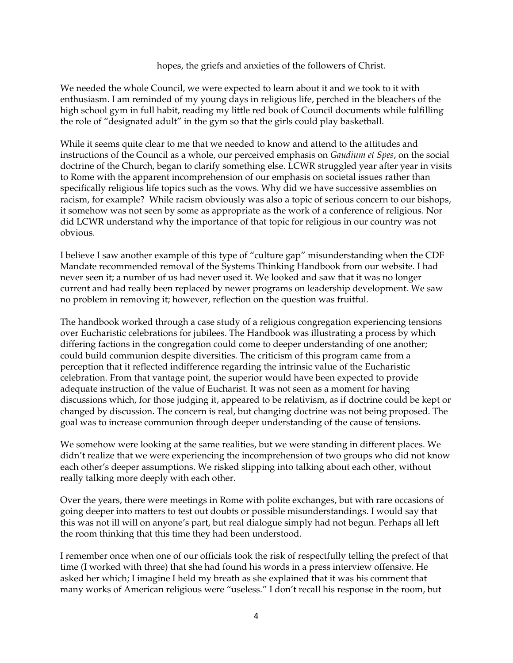hopes, the griefs and anxieties of the followers of Christ.

We needed the whole Council, we were expected to learn about it and we took to it with enthusiasm. I am reminded of my young days in religious life, perched in the bleachers of the high school gym in full habit, reading my little red book of Council documents while fulfilling the role of "designated adult" in the gym so that the girls could play basketball.

While it seems quite clear to me that we needed to know and attend to the attitudes and instructions of the Council as a whole, our perceived emphasis on *Gaudium et Spes*, on the social doctrine of the Church, began to clarify something else. LCWR struggled year after year in visits to Rome with the apparent incomprehension of our emphasis on societal issues rather than specifically religious life topics such as the vows. Why did we have successive assemblies on racism, for example? While racism obviously was also a topic of serious concern to our bishops, it somehow was not seen by some as appropriate as the work of a conference of religious. Nor did LCWR understand why the importance of that topic for religious in our country was not obvious.

I believe I saw another example of this type of "culture gap" misunderstanding when the CDF Mandate recommended removal of the Systems Thinking Handbook from our website. I had never seen it; a number of us had never used it. We looked and saw that it was no longer current and had really been replaced by newer programs on leadership development. We saw no problem in removing it; however, reflection on the question was fruitful.

The handbook worked through a case study of a religious congregation experiencing tensions over Eucharistic celebrations for jubilees. The Handbook was illustrating a process by which differing factions in the congregation could come to deeper understanding of one another; could build communion despite diversities. The criticism of this program came from a perception that it reflected indifference regarding the intrinsic value of the Eucharistic celebration. From that vantage point, the superior would have been expected to provide adequate instruction of the value of Eucharist. It was not seen as a moment for having discussions which, for those judging it, appeared to be relativism, as if doctrine could be kept or changed by discussion. The concern is real, but changing doctrine was not being proposed. The goal was to increase communion through deeper understanding of the cause of tensions.

We somehow were looking at the same realities, but we were standing in different places. We didn't realize that we were experiencing the incomprehension of two groups who did not know each other's deeper assumptions. We risked slipping into talking about each other, without really talking more deeply with each other.

Over the years, there were meetings in Rome with polite exchanges, but with rare occasions of going deeper into matters to test out doubts or possible misunderstandings. I would say that this was not ill will on anyone's part, but real dialogue simply had not begun. Perhaps all left the room thinking that this time they had been understood.

I remember once when one of our officials took the risk of respectfully telling the prefect of that time (I worked with three) that she had found his words in a press interview offensive. He asked her which; I imagine I held my breath as she explained that it was his comment that many works of American religious were "useless." I don't recall his response in the room, but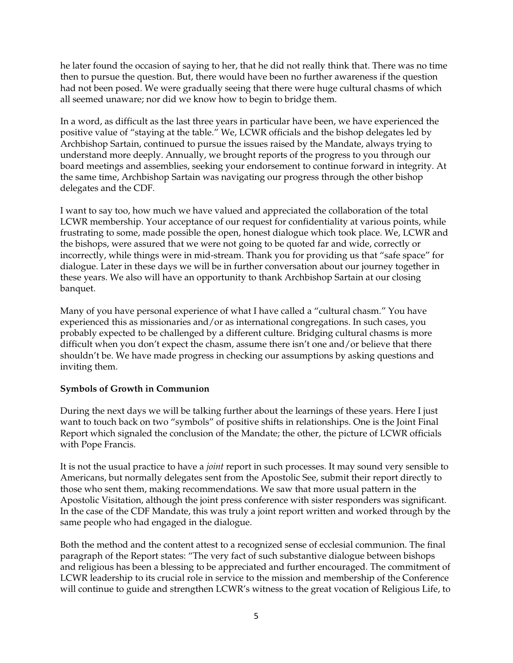he later found the occasion of saying to her, that he did not really think that. There was no time then to pursue the question. But, there would have been no further awareness if the question had not been posed. We were gradually seeing that there were huge cultural chasms of which all seemed unaware; nor did we know how to begin to bridge them.

In a word, as difficult as the last three years in particular have been, we have experienced the positive value of "staying at the table." We, LCWR officials and the bishop delegates led by Archbishop Sartain, continued to pursue the issues raised by the Mandate, always trying to understand more deeply. Annually, we brought reports of the progress to you through our board meetings and assemblies, seeking your endorsement to continue forward in integrity. At the same time, Archbishop Sartain was navigating our progress through the other bishop delegates and the CDF.

I want to say too, how much we have valued and appreciated the collaboration of the total LCWR membership. Your acceptance of our request for confidentiality at various points, while frustrating to some, made possible the open, honest dialogue which took place. We, LCWR and the bishops, were assured that we were not going to be quoted far and wide, correctly or incorrectly, while things were in mid-stream. Thank you for providing us that "safe space" for dialogue. Later in these days we will be in further conversation about our journey together in these years. We also will have an opportunity to thank Archbishop Sartain at our closing banquet.

Many of you have personal experience of what I have called a "cultural chasm." You have experienced this as missionaries and/or as international congregations. In such cases, you probably expected to be challenged by a different culture. Bridging cultural chasms is more difficult when you don't expect the chasm, assume there isn't one and/or believe that there shouldn't be. We have made progress in checking our assumptions by asking questions and inviting them.

## **Symbols of Growth in Communion**

During the next days we will be talking further about the learnings of these years. Here I just want to touch back on two "symbols" of positive shifts in relationships. One is the Joint Final Report which signaled the conclusion of the Mandate; the other, the picture of LCWR officials with Pope Francis.

It is not the usual practice to have a *joint* report in such processes. It may sound very sensible to Americans, but normally delegates sent from the Apostolic See, submit their report directly to those who sent them, making recommendations. We saw that more usual pattern in the Apostolic Visitation, although the joint press conference with sister responders was significant. In the case of the CDF Mandate, this was truly a joint report written and worked through by the same people who had engaged in the dialogue.

Both the method and the content attest to a recognized sense of ecclesial communion. The final paragraph of the Report states: "The very fact of such substantive dialogue between bishops and religious has been a blessing to be appreciated and further encouraged. The commitment of LCWR leadership to its crucial role in service to the mission and membership of the Conference will continue to guide and strengthen LCWR's witness to the great vocation of Religious Life, to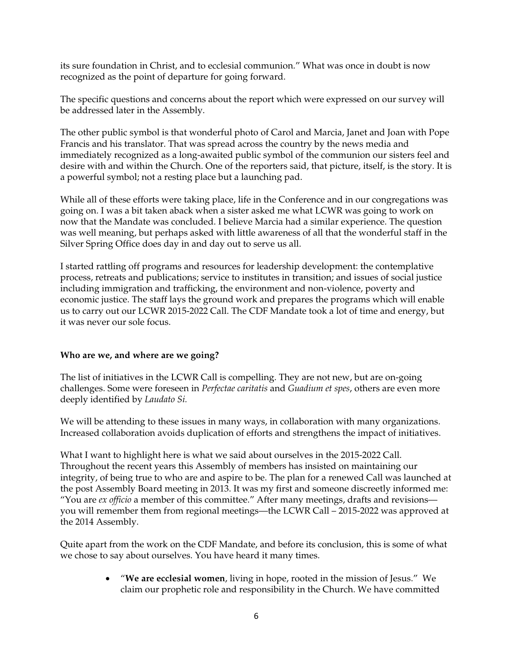its sure foundation in Christ, and to ecclesial communion." What was once in doubt is now recognized as the point of departure for going forward.

The specific questions and concerns about the report which were expressed on our survey will be addressed later in the Assembly.

The other public symbol is that wonderful photo of Carol and Marcia, Janet and Joan with Pope Francis and his translator. That was spread across the country by the news media and immediately recognized as a long-awaited public symbol of the communion our sisters feel and desire with and within the Church. One of the reporters said, that picture, itself, is the story. It is a powerful symbol; not a resting place but a launching pad.

While all of these efforts were taking place, life in the Conference and in our congregations was going on. I was a bit taken aback when a sister asked me what LCWR was going to work on now that the Mandate was concluded. I believe Marcia had a similar experience. The question was well meaning, but perhaps asked with little awareness of all that the wonderful staff in the Silver Spring Office does day in and day out to serve us all.

I started rattling off programs and resources for leadership development: the contemplative process, retreats and publications; service to institutes in transition; and issues of social justice including immigration and trafficking, the environment and non-violence, poverty and economic justice. The staff lays the ground work and prepares the programs which will enable us to carry out our LCWR 2015-2022 Call. The CDF Mandate took a lot of time and energy, but it was never our sole focus.

#### **Who are we, and where are we going?**

The list of initiatives in the LCWR Call is compelling. They are not new, but are on-going challenges. Some were foreseen in *Perfectae caritatis* and *Guadium et spes*, others are even more deeply identified by *Laudato Si.*

We will be attending to these issues in many ways, in collaboration with many organizations. Increased collaboration avoids duplication of efforts and strengthens the impact of initiatives.

What I want to highlight here is what we said about ourselves in the 2015-2022 Call. Throughout the recent years this Assembly of members has insisted on maintaining our integrity, of being true to who are and aspire to be. The plan for a renewed Call was launched at the post Assembly Board meeting in 2013. It was my first and someone discreetly informed me: "You are *ex officio* a member of this committee." After many meetings, drafts and revisions you will remember them from regional meetings—the LCWR Call – 2015-2022 was approved at the 2014 Assembly.

Quite apart from the work on the CDF Mandate, and before its conclusion, this is some of what we chose to say about ourselves. You have heard it many times.

> • "**We are ecclesial women**, living in hope, rooted in the mission of Jesus." We claim our prophetic role and responsibility in the Church. We have committed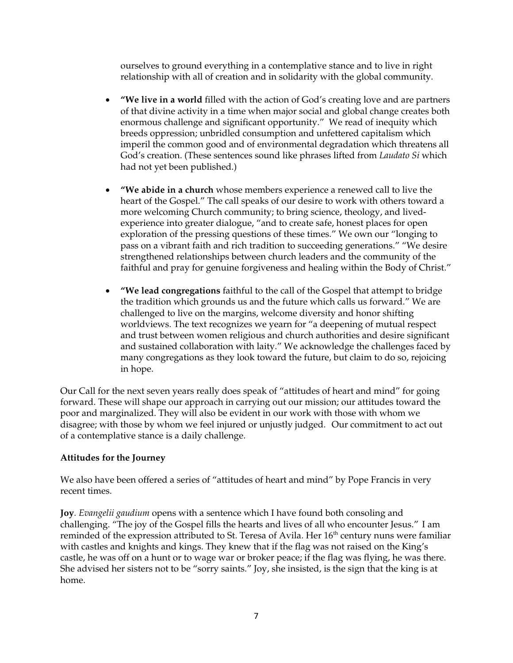ourselves to ground everything in a contemplative stance and to live in right relationship with all of creation and in solidarity with the global community.

- **"We live in a world** filled with the action of God's creating love and are partners of that divine activity in a time when major social and global change creates both enormous challenge and significant opportunity." We read of inequity which breeds oppression; unbridled consumption and unfettered capitalism which imperil the common good and of environmental degradation which threatens all God's creation. (These sentences sound like phrases lifted from *Laudato Si* which had not yet been published.)
- **"We abide in a church** whose members experience a renewed call to live the heart of the Gospel." The call speaks of our desire to work with others toward a more welcoming Church community; to bring science, theology, and livedexperience into greater dialogue, "and to create safe, honest places for open exploration of the pressing questions of these times." We own our "longing to pass on a vibrant faith and rich tradition to succeeding generations." "We desire strengthened relationships between church leaders and the community of the faithful and pray for genuine forgiveness and healing within the Body of Christ."
- **"We lead congregations** faithful to the call of the Gospel that attempt to bridge the tradition which grounds us and the future which calls us forward." We are challenged to live on the margins, welcome diversity and honor shifting worldviews. The text recognizes we yearn for "a deepening of mutual respect and trust between women religious and church authorities and desire significant and sustained collaboration with laity." We acknowledge the challenges faced by many congregations as they look toward the future, but claim to do so, rejoicing in hope.

Our Call for the next seven years really does speak of "attitudes of heart and mind" for going forward. These will shape our approach in carrying out our mission; our attitudes toward the poor and marginalized. They will also be evident in our work with those with whom we disagree; with those by whom we feel injured or unjustly judged. Our commitment to act out of a contemplative stance is a daily challenge.

## **Attitudes for the Journey**

We also have been offered a series of "attitudes of heart and mind" by Pope Francis in very recent times.

**Joy***. Evangelii gaudium* opens with a sentence which I have found both consoling and challenging. "The joy of the Gospel fills the hearts and lives of all who encounter Jesus." I am reminded of the expression attributed to St. Teresa of Avila. Her 16<sup>th</sup> century nuns were familiar with castles and knights and kings. They knew that if the flag was not raised on the King's castle, he was off on a hunt or to wage war or broker peace; if the flag was flying, he was there. She advised her sisters not to be "sorry saints." Joy, she insisted, is the sign that the king is at home.